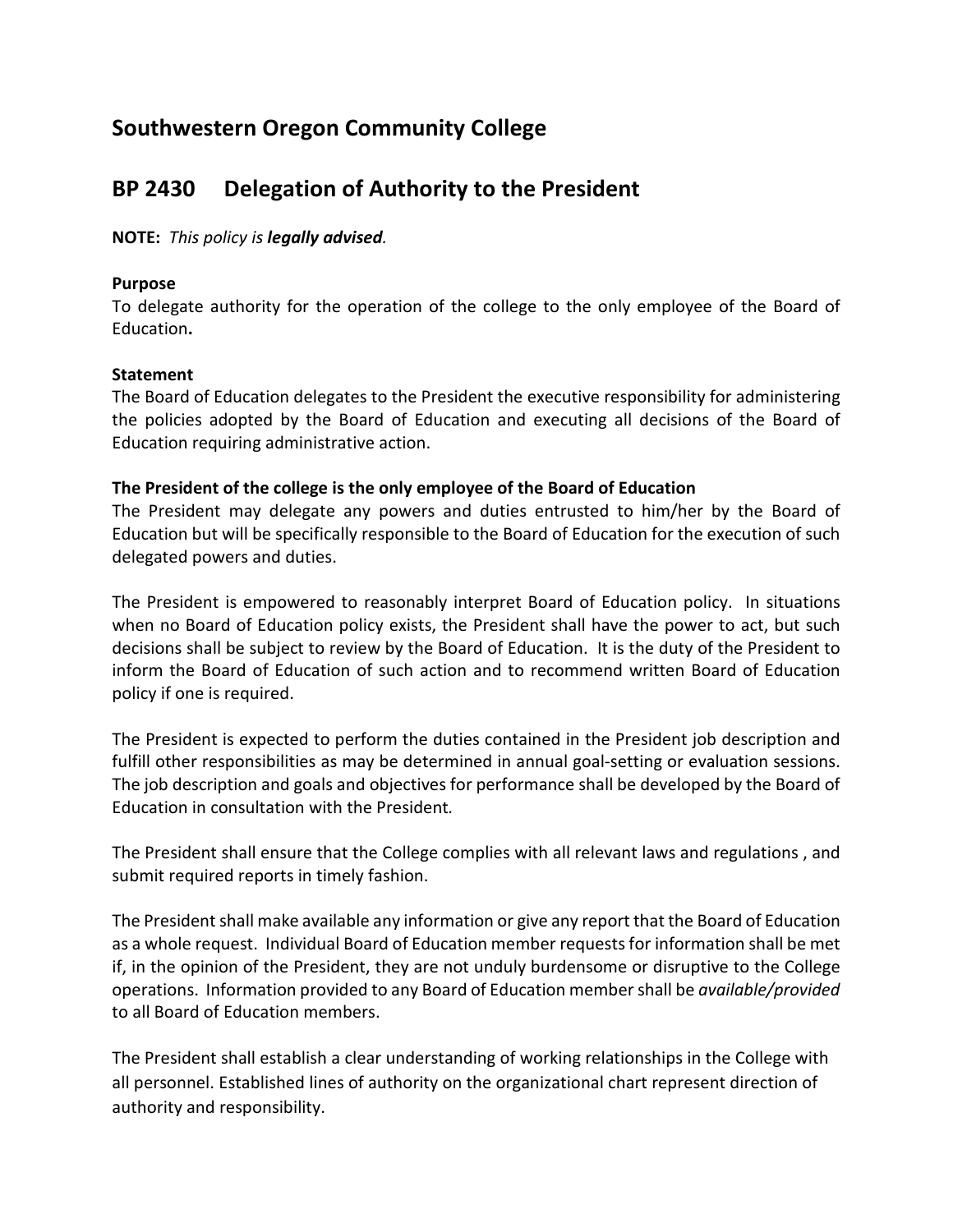# **Southwestern Oregon Community College**

# **BP 2430 Delegation of Authority to the President**

**NOTE:** *This policy is legally advised.*

#### **Purpose**

To delegate authority for the operation of the college to the only employee of the Board of Education**.**

## **Statement**

The Board of Education delegates to the President the executive responsibility for administering the policies adopted by the Board of Education and executing all decisions of the Board of Education requiring administrative action.

## **The President of the college is the only employee of the Board of Education**

The President may delegate any powers and duties entrusted to him/her by the Board of Education but will be specifically responsible to the Board of Education for the execution of such delegated powers and duties.

The President is empowered to reasonably interpret Board of Education policy. In situations when no Board of Education policy exists, the President shall have the power to act, but such decisions shall be subject to review by the Board of Education. It is the duty of the President to inform the Board of Education of such action and to recommend written Board of Education policy if one is required.

The President is expected to perform the duties contained in the President job description and fulfill other responsibilities as may be determined in annual goal-setting or evaluation sessions. The job description and goals and objectives for performance shall be developed by the Board of Education in consultation with the President*.*

The President shall ensure that the College complies with all relevant laws and regulations , and submit required reports in timely fashion.

The President shall make available any information or give any report that the Board of Education as a whole request. Individual Board of Education member requests for information shall be met if, in the opinion of the President, they are not unduly burdensome or disruptive to the College operations. Information provided to any Board of Education member shall be *available/provided*  to all Board of Education members.

The President shall establish a clear understanding of working relationships in the College with all personnel. Established lines of authority on the organizational chart represent direction of authority and responsibility.